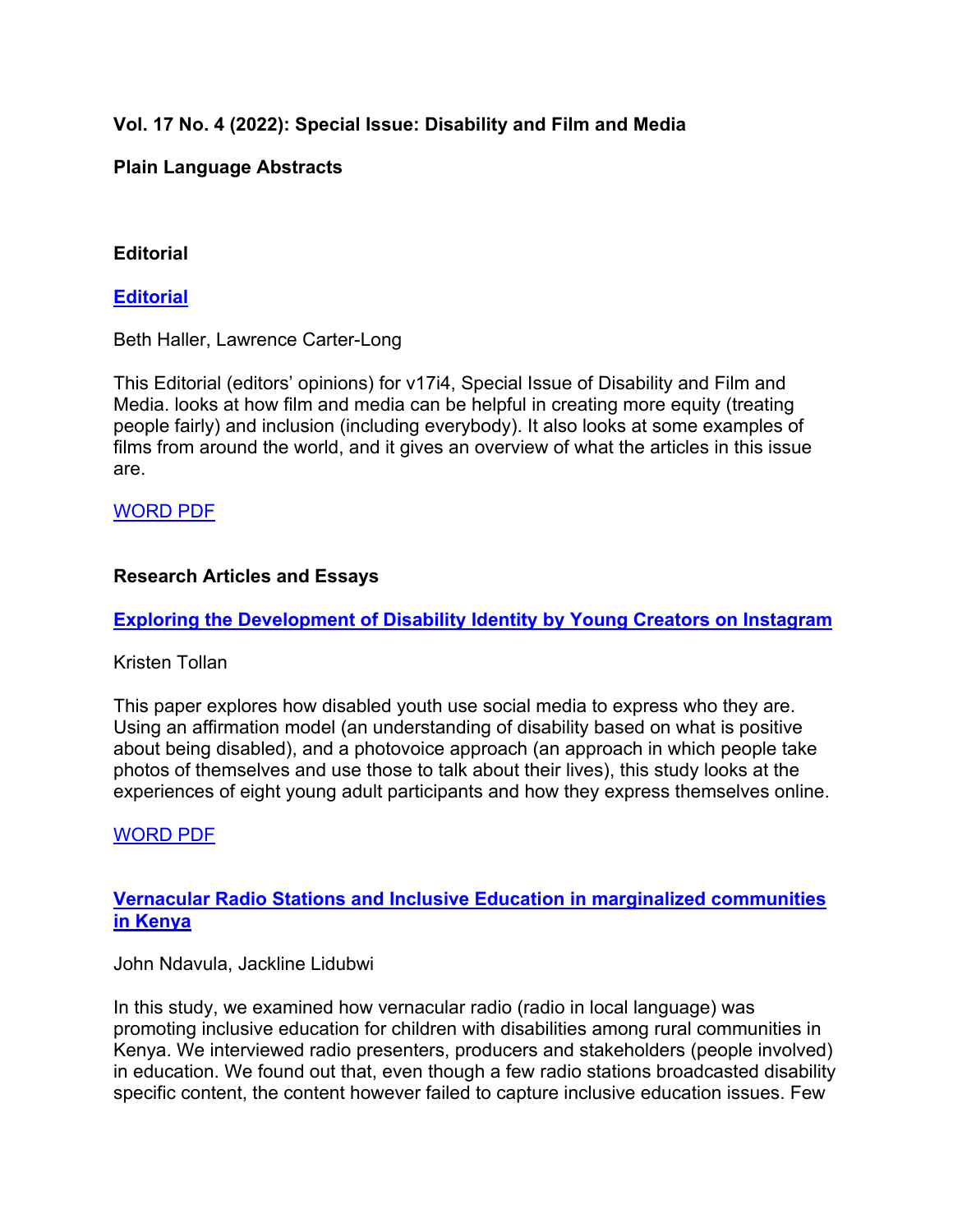# **Vol. 17 No. 4 (2022): Special Issue: Disability and Film and Media**

## **Plain Language Abstracts**

## **Editorial**

### **Editorial**

Beth Haller, Lawrence Carter-Long

This Editorial (editors' opinions) for v17i4, Special Issue of Disability and Film and Media. looks at how film and media can be helpful in creating more equity (treating people fairly) and inclusion (including everybody). It also looks at some examples of films from around the world, and it gives an overview of what the articles in this issue are.

## WORD PDF

### **Research Articles and Essays**

**Exploring the Development of Disability Identity by Young Creators on Instagram** 

### Kristen Tollan

This paper explores how disabled youth use social media to express who they are. Using an affirmation model (an understanding of disability based on what is positive about being disabled), and a photovoice approach (an approach in which people take photos of themselves and use those to talk about their lives), this study looks at the experiences of eight young adult participants and how they express themselves online.

### WORD PDF

**Vernacular Radio Stations and Inclusive Education in marginalized communities in Kenya** 

### John Ndavula, Jackline Lidubwi

In this study, we examined how vernacular radio (radio in local language) was promoting inclusive education for children with disabilities among rural communities in Kenya. We interviewed radio presenters, producers and stakeholders (people involved) in education. We found out that, even though a few radio stations broadcasted disability specific content, the content however failed to capture inclusive education issues. Few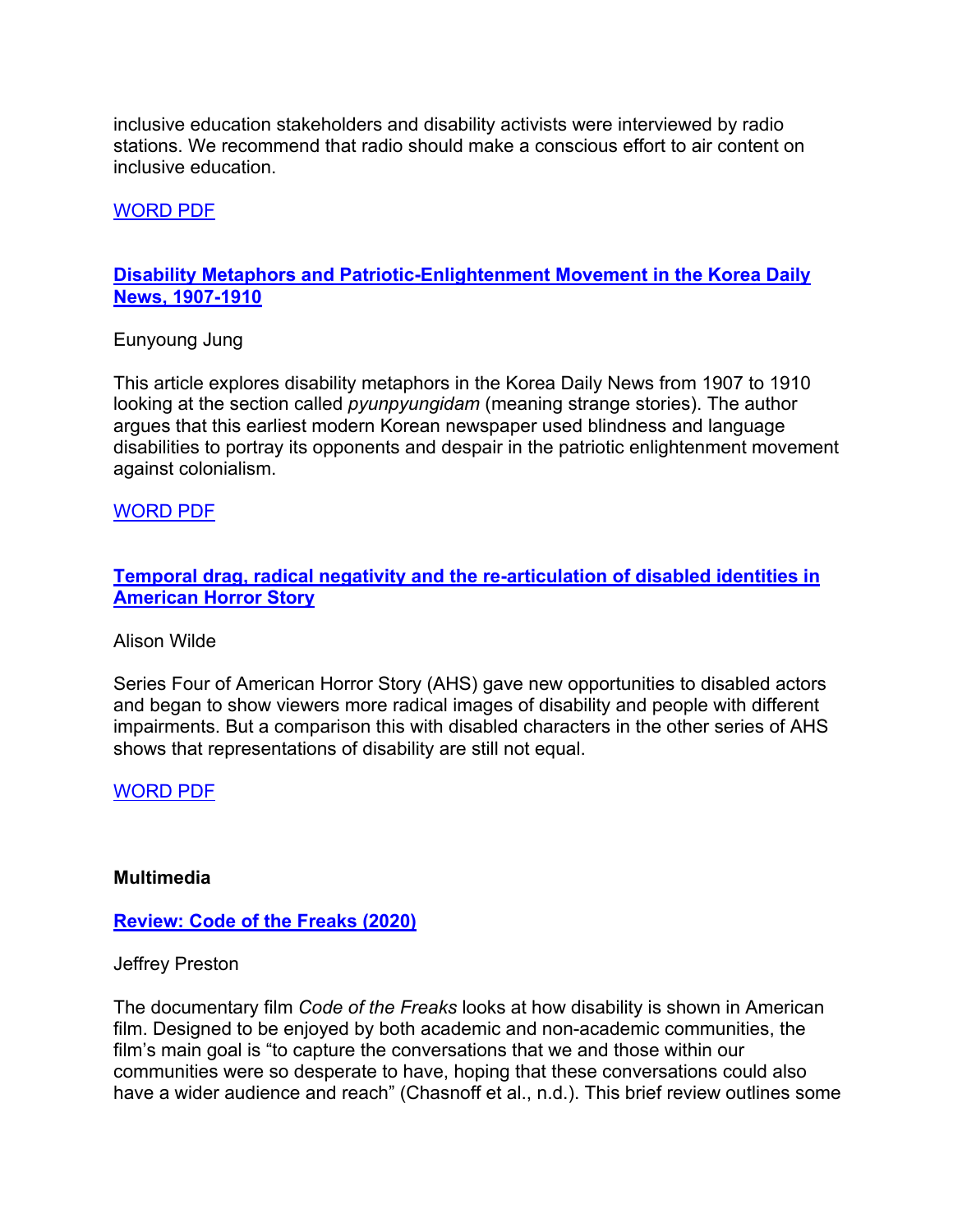inclusive education stakeholders and disability activists were interviewed by radio stations. We recommend that radio should make a conscious effort to air content on inclusive education.

WORD PDF

### **Disability Metaphors and Patriotic-Enlightenment Movement in the Korea Daily News, 1907-1910**

Eunyoung Jung

This article explores disability metaphors in the Korea Daily News from 1907 to 1910 looking at the section called *pyunpyungidam* (meaning strange stories). The author argues that this earliest modern Korean newspaper used blindness and language disabilities to portray its opponents and despair in the patriotic enlightenment movement against colonialism.

### WORD PDF

## **Temporal drag, radical negativity and the re-articulation of disabled identities in American Horror Story**

#### Alison Wilde

Series Four of American Horror Story (AHS) gave new opportunities to disabled actors and began to show viewers more radical images of disability and people with different impairments. But a comparison this with disabled characters in the other series of AHS shows that representations of disability are still not equal.

WORD PDF

#### **Multimedia**

### **Review: Code of the Freaks (2020)**

#### Jeffrey Preston

The documentary film *Code of the Freaks* looks at how disability is shown in American film. Designed to be enjoyed by both academic and non-academic communities, the film's main goal is "to capture the conversations that we and those within our communities were so desperate to have, hoping that these conversations could also have a wider audience and reach" (Chasnoff et al., n.d.). This brief review outlines some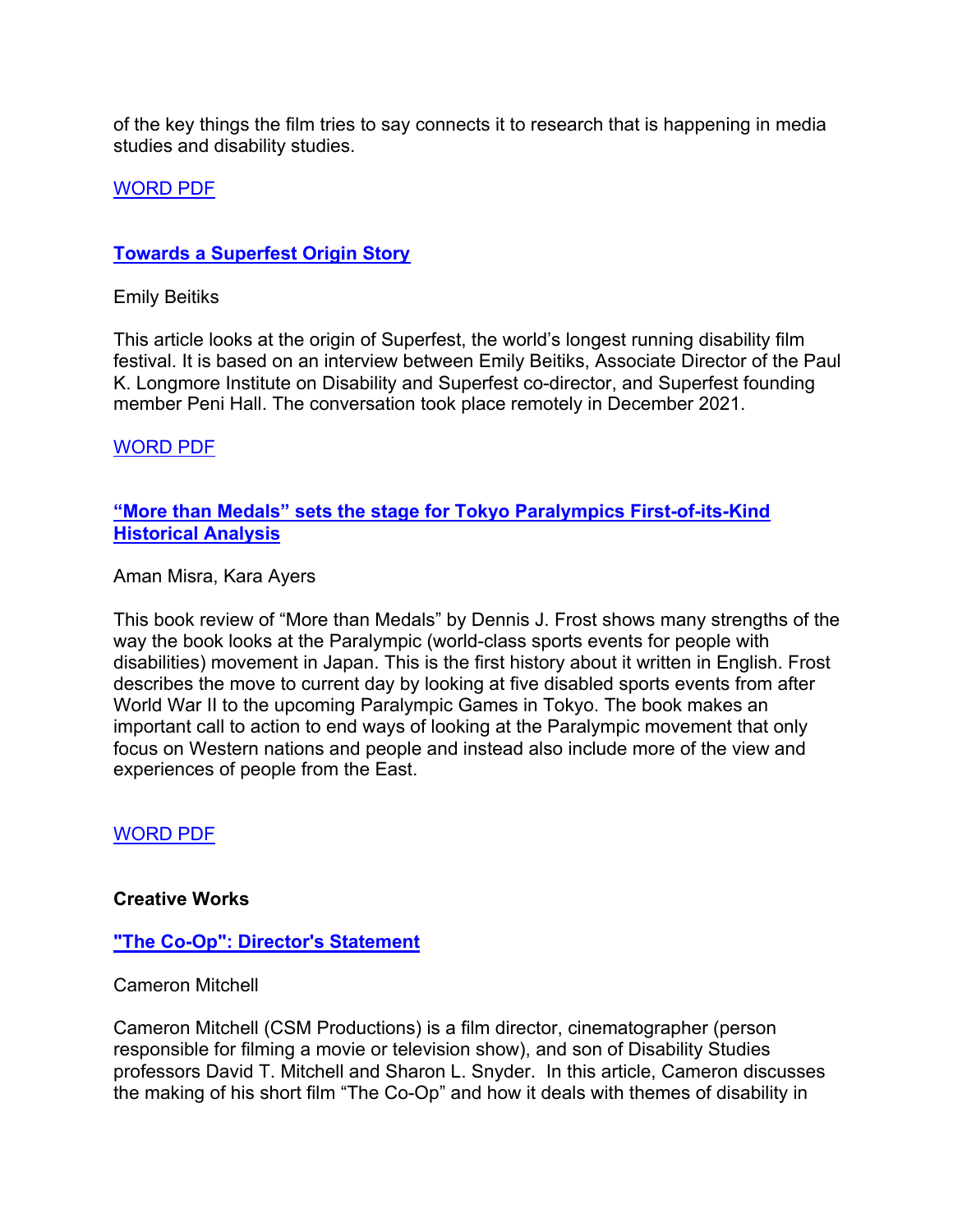of the key things the film tries to say connects it to research that is happening in media studies and disability studies.

### WORD PDF

#### **Towards a Superfest Origin Story**

Emily Beitiks

This article looks at the origin of Superfest, the world's longest running disability film festival. It is based on an interview between Emily Beitiks, Associate Director of the Paul K. Longmore Institute on Disability and Superfest co-director, and Superfest founding member Peni Hall. The conversation took place remotely in December 2021.

WORD PDF

### **"More than Medals" sets the stage for Tokyo Paralympics First-of-its-Kind Historical Analysis**

Aman Misra, Kara Ayers

This book review of "More than Medals" by Dennis J. Frost shows many strengths of the way the book looks at the Paralympic (world-class sports events for people with disabilities) movement in Japan. This is the first history about it written in English. Frost describes the move to current day by looking at five disabled sports events from after World War II to the upcoming Paralympic Games in Tokyo. The book makes an important call to action to end ways of looking at the Paralympic movement that only focus on Western nations and people and instead also include more of the view and experiences of people from the East.

WORD PDF

#### **Creative Works**

#### **"The Co-Op": Director's Statement**

Cameron Mitchell

Cameron Mitchell (CSM Productions) is a film director, cinematographer (person responsible for filming a movie or television show), and son of Disability Studies professors David T. Mitchell and Sharon L. Snyder. In this article, Cameron discusses the making of his short film "The Co-Op" and how it deals with themes of disability in